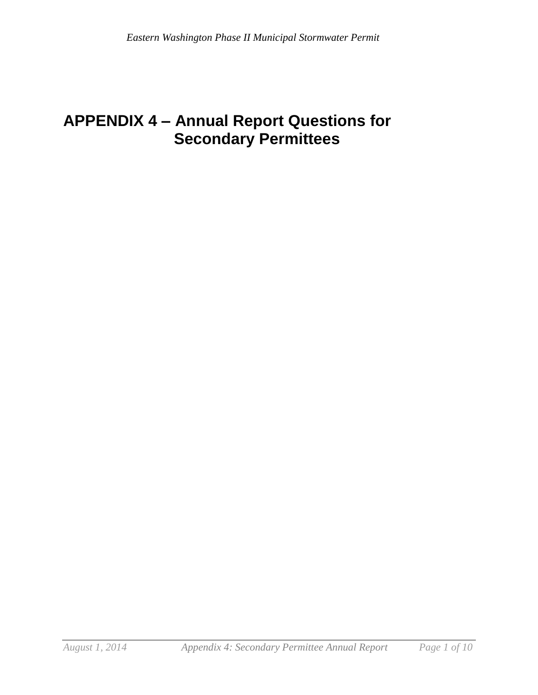# **APPENDIX 4 – Annual Report Questions for Secondary Permittees**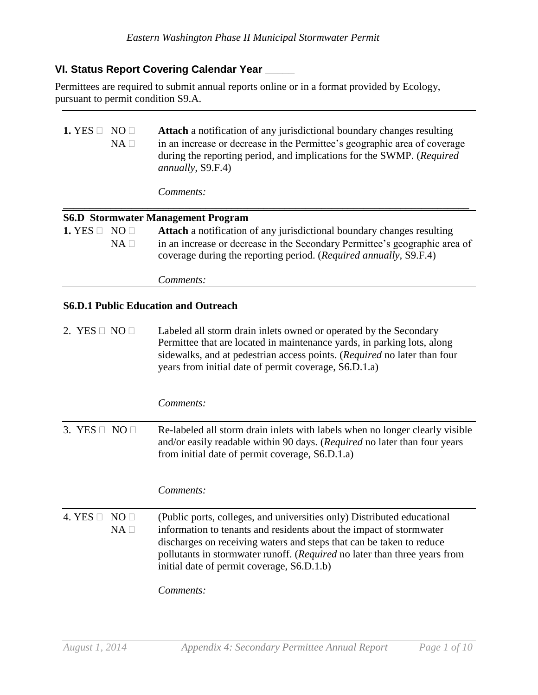# **VI. Status Report Covering Calendar Year \_\_\_\_\_**

Permittees are required to submit annual reports online or in a format provided by Ecology, pursuant to permit condition S9.A.

| 1. YES $\square$                            | NO <sub>1</sub><br>$NA \Box$ | <b>Attach</b> a notification of any jurisdictional boundary changes resulting<br>in an increase or decrease in the Permittee's geographic area of coverage<br>during the reporting period, and implications for the SWMP. (Required<br>annually, S9.F.4)                                                                                                       |  |
|---------------------------------------------|------------------------------|----------------------------------------------------------------------------------------------------------------------------------------------------------------------------------------------------------------------------------------------------------------------------------------------------------------------------------------------------------------|--|
|                                             |                              | Comments:                                                                                                                                                                                                                                                                                                                                                      |  |
|                                             |                              | <b>S6.D Stormwater Management Program</b>                                                                                                                                                                                                                                                                                                                      |  |
| 1. YES $\square$                            | NO <sub>1</sub><br>NA        | Attach a notification of any jurisdictional boundary changes resulting<br>in an increase or decrease in the Secondary Permittee's geographic area of<br>coverage during the reporting period. (Required annually, S9.F.4)                                                                                                                                      |  |
|                                             |                              | Comments:                                                                                                                                                                                                                                                                                                                                                      |  |
| <b>S6.D.1 Public Education and Outreach</b> |                              |                                                                                                                                                                                                                                                                                                                                                                |  |
| 2. YES $\Box$ NO $\Box$                     |                              | Labeled all storm drain inlets owned or operated by the Secondary<br>Permittee that are located in maintenance yards, in parking lots, along<br>sidewalks, and at pedestrian access points. (Required no later than four<br>years from initial date of permit coverage, S6.D.1.a)                                                                              |  |
|                                             |                              | Comments:                                                                                                                                                                                                                                                                                                                                                      |  |
| 3. YES $\Box$ NO $\Box$                     |                              | Re-labeled all storm drain inlets with labels when no longer clearly visible<br>and/or easily readable within 90 days. (Required no later than four years<br>from initial date of permit coverage, S6.D.1.a)                                                                                                                                                   |  |
|                                             |                              | Comments:                                                                                                                                                                                                                                                                                                                                                      |  |
| 4. YES $\Box$                               | NO<br>$NA \Box$              | (Public ports, colleges, and universities only) Distributed educational<br>information to tenants and residents about the impact of stormwater<br>discharges on receiving waters and steps that can be taken to reduce<br>pollutants in stormwater runoff. (Required no later than three years from<br>initial date of permit coverage, S6.D.1.b)<br>Comments: |  |
|                                             |                              |                                                                                                                                                                                                                                                                                                                                                                |  |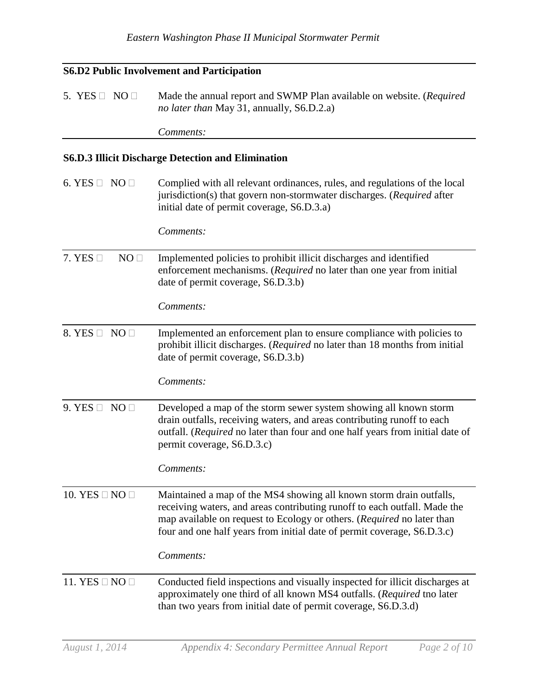### **S6.D2 Public Involvement and Participation**

5. YES  $\Box$  NO  $\Box$  Made the annual report and SWMP Plan available on website. (*Required no later than* May 31, annually, S6.D.2.a)

*Comments:*

#### **S6.D.3 Illicit Discharge Detection and Elimination**

6. YES  $\Box$  NO  $\Box$  Complied with all relevant ordinances, rules, and regulations of the local jurisdiction(s) that govern non-stormwater discharges. (*Required* after initial date of permit coverage*,* S6.D.3.a) *Comments:* 7. YES  $\Box$  NO  $\Box$  Implemented policies to prohibit illicit discharges and identified enforcement mechanisms. (*Required* no later than one year from initial date of permit coverage, S6.D.3.b) *Comments:* 8. YES  $\Box$  NO  $\Box$  Implemented an enforcement plan to ensure compliance with policies to prohibit illicit discharges. (*Required* no later than 18 months from initial date of permit coverage, S6.D.3.b) *Comments:* 9. YES  $\Box$  NO  $\Box$  Developed a map of the storm sewer system showing all known storm drain outfalls, receiving waters, and areas contributing runoff to each outfall. (*Required* no later than four and one half years from initial date of permit coverage, S6.D.3.c) *Comments:* 10. YES  $\Box$  NO  $\Box$  Maintained a map of the MS4 showing all known storm drain outfalls, receiving waters, and areas contributing runoff to each outfall. Made the map available on request to Ecology or others. (*Required* no later than four and one half years from initial date of permit coverage, S6.D.3.c) *Comments:* 11. YES  $\Box$  NO  $\Box$  Conducted field inspections and visually inspected for illicit discharges at approximately one third of all known MS4 outfalls. (*Required* tno later than two years from initial date of permit coverage, S6.D.3.d)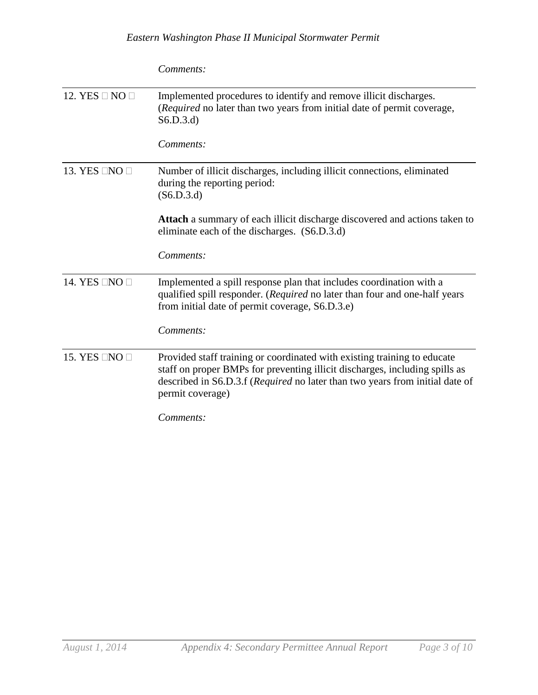|                          | Comments:                                                                                                                                                                                                                                                   |
|--------------------------|-------------------------------------------------------------------------------------------------------------------------------------------------------------------------------------------------------------------------------------------------------------|
| 12. YES $\Box$ NO $\Box$ | Implemented procedures to identify and remove illicit discharges.<br>(Required no later than two years from initial date of permit coverage,<br>S6.D.3.d                                                                                                    |
|                          | Comments:                                                                                                                                                                                                                                                   |
| 13. YES $\Box$ NO $\Box$ | Number of illicit discharges, including illicit connections, eliminated<br>during the reporting period:<br>(S6.D.3.d)                                                                                                                                       |
|                          | Attach a summary of each illicit discharge discovered and actions taken to<br>eliminate each of the discharges. (S6.D.3.d)                                                                                                                                  |
|                          | Comments:                                                                                                                                                                                                                                                   |
| 14. YES ONO              | Implemented a spill response plan that includes coordination with a<br>qualified spill responder. (Required no later than four and one-half years<br>from initial date of permit coverage, S6.D.3.e)                                                        |
|                          | Comments:                                                                                                                                                                                                                                                   |
| 15. YES $\Box$ NO $\Box$ | Provided staff training or coordinated with existing training to educate<br>staff on proper BMPs for preventing illicit discharges, including spills as<br>described in S6.D.3.f (Required no later than two years from initial date of<br>permit coverage) |
|                          | Comments:                                                                                                                                                                                                                                                   |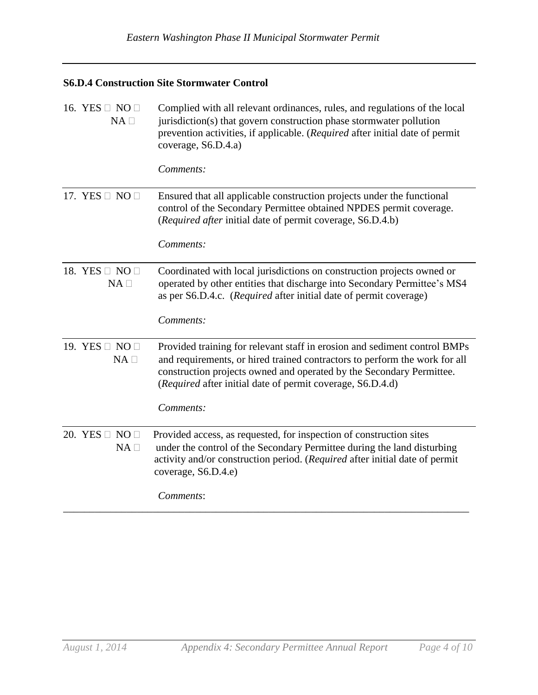# **S6.D.4 Construction Site Stormwater Control**

| 16. YES $\Box$ NO $\Box$<br>$NA \square$   | Complied with all relevant ordinances, rules, and regulations of the local<br>jurisdiction(s) that govern construction phase stormwater pollution<br>prevention activities, if applicable. (Required after initial date of permit<br>coverage, S6.D.4.a)<br>Comments:                                      |
|--------------------------------------------|------------------------------------------------------------------------------------------------------------------------------------------------------------------------------------------------------------------------------------------------------------------------------------------------------------|
| 17. YES $\Box$ NO $\Box$                   | Ensured that all applicable construction projects under the functional<br>control of the Secondary Permittee obtained NPDES permit coverage.<br>(Required after initial date of permit coverage, S6.D.4.b)<br>Comments:                                                                                    |
| 18. YES $\Box$ NO $\Box$<br>$NA$ $\square$ | Coordinated with local jurisdictions on construction projects owned or<br>operated by other entities that discharge into Secondary Permittee's MS4<br>as per S6.D.4.c. (Required after initial date of permit coverage)<br>Comments:                                                                       |
| 19. YES $\Box$ NO $\Box$<br>$NA \Box$      | Provided training for relevant staff in erosion and sediment control BMPs<br>and requirements, or hired trained contractors to perform the work for all<br>construction projects owned and operated by the Secondary Permittee.<br>(Required after initial date of permit coverage, S6.D.4.d)<br>Comments: |
| 20. YES $\Box$ NO $\Box$<br>$NA \Box$      | Provided access, as requested, for inspection of construction sites<br>under the control of the Secondary Permittee during the land disturbing<br>activity and/or construction period. (Required after initial date of permit<br>coverage, S6.D.4.e)<br>Comments:                                          |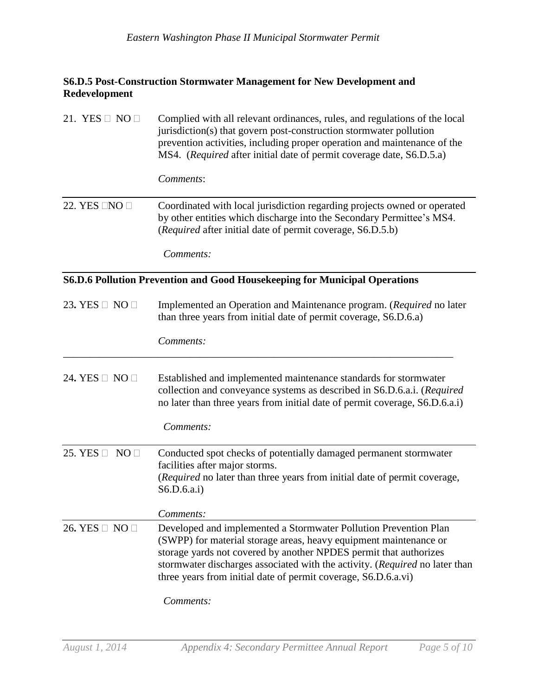## **S6.D.5 Post-Construction Stormwater Management for New Development and Redevelopment**

| 21. YES $\Box$ NO $\Box$ | Complied with all relevant ordinances, rules, and regulations of the local<br>jurisdiction(s) that govern post-construction stormwater pollution<br>prevention activities, including proper operation and maintenance of the<br>MS4. (Required after initial date of permit coverage date, S6.D.5.a)                                                        |
|--------------------------|-------------------------------------------------------------------------------------------------------------------------------------------------------------------------------------------------------------------------------------------------------------------------------------------------------------------------------------------------------------|
|                          | Comments:                                                                                                                                                                                                                                                                                                                                                   |
| 22. YES $\Box$ NO $\Box$ | Coordinated with local jurisdiction regarding projects owned or operated<br>by other entities which discharge into the Secondary Permittee's MS4.<br>(Required after initial date of permit coverage, S6.D.5.b)                                                                                                                                             |
|                          | Comments:                                                                                                                                                                                                                                                                                                                                                   |
|                          | S6.D.6 Pollution Prevention and Good Housekeeping for Municipal Operations                                                                                                                                                                                                                                                                                  |
| 23. YES $\Box$ NO $\Box$ | Implemented an Operation and Maintenance program. (Required no later<br>than three years from initial date of permit coverage, S6.D.6.a)                                                                                                                                                                                                                    |
|                          | Comments:                                                                                                                                                                                                                                                                                                                                                   |
| 24. YES $\Box$ NO $\Box$ | Established and implemented maintenance standards for stormwater<br>collection and conveyance systems as described in S6.D.6.a.i. (Required<br>no later than three years from initial date of permit coverage, S6.D.6.a.i)                                                                                                                                  |
|                          | Comments:                                                                                                                                                                                                                                                                                                                                                   |
| 25. YES $\Box$ NO $\Box$ | Conducted spot checks of potentially damaged permanent stormwater<br>facilities after major storms.<br>(Required no later than three years from initial date of permit coverage,<br>S6.D.6.a.i)                                                                                                                                                             |
|                          | Comments:                                                                                                                                                                                                                                                                                                                                                   |
| 26. YES □ NO □           | Developed and implemented a Stormwater Pollution Prevention Plan<br>(SWPP) for material storage areas, heavy equipment maintenance or<br>storage yards not covered by another NPDES permit that authorizes<br>stormwater discharges associated with the activity. (Required no later than<br>three years from initial date of permit coverage, S6.D.6.a.vi) |
|                          | Comments:                                                                                                                                                                                                                                                                                                                                                   |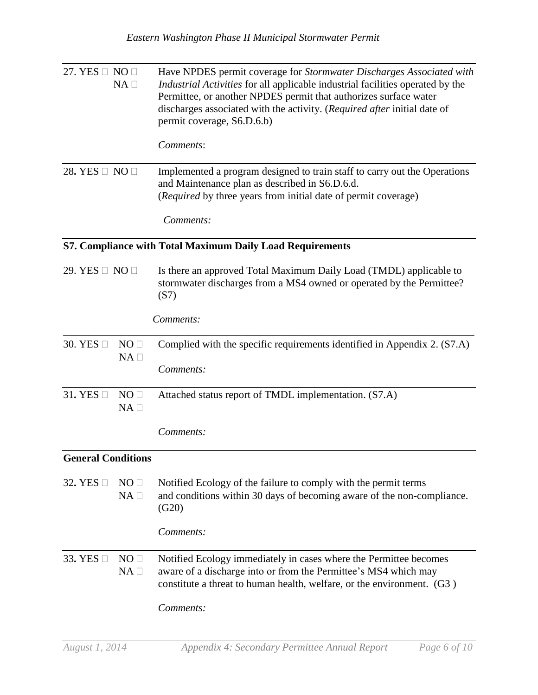| 27. YES $\Box$ NO $\Box$                                  | $NA \Box$                       | Have NPDES permit coverage for Stormwater Discharges Associated with<br>Industrial Activities for all applicable industrial facilities operated by the<br>Permittee, or another NPDES permit that authorizes surface water<br>discharges associated with the activity. (Required after initial date of<br>permit coverage, S6.D.6.b) |  |  |  |
|-----------------------------------------------------------|---------------------------------|--------------------------------------------------------------------------------------------------------------------------------------------------------------------------------------------------------------------------------------------------------------------------------------------------------------------------------------|--|--|--|
|                                                           |                                 | Comments:                                                                                                                                                                                                                                                                                                                            |  |  |  |
| 28. YES $\Box$ NO $\Box$                                  |                                 | Implemented a program designed to train staff to carry out the Operations<br>and Maintenance plan as described in S6.D.6.d.<br>(Required by three years from initial date of permit coverage)                                                                                                                                        |  |  |  |
|                                                           |                                 | Comments:                                                                                                                                                                                                                                                                                                                            |  |  |  |
| S7. Compliance with Total Maximum Daily Load Requirements |                                 |                                                                                                                                                                                                                                                                                                                                      |  |  |  |
| 29. YES $\Box$ NO $\Box$                                  |                                 | Is there an approved Total Maximum Daily Load (TMDL) applicable to<br>stormwater discharges from a MS4 owned or operated by the Permittee?<br>(S7)                                                                                                                                                                                   |  |  |  |
|                                                           |                                 | Comments:                                                                                                                                                                                                                                                                                                                            |  |  |  |
| 30. YES                                                   | NO <sub>1</sub><br>$NA \square$ | Complied with the specific requirements identified in Appendix 2. (S7.A)                                                                                                                                                                                                                                                             |  |  |  |
|                                                           |                                 | Comments:                                                                                                                                                                                                                                                                                                                            |  |  |  |
| 31. YES $\square$                                         | NO <sub>1</sub><br>$NA \square$ | Attached status report of TMDL implementation. (S7.A)                                                                                                                                                                                                                                                                                |  |  |  |
|                                                           |                                 | Comments:                                                                                                                                                                                                                                                                                                                            |  |  |  |
| <b>General Conditions</b>                                 |                                 |                                                                                                                                                                                                                                                                                                                                      |  |  |  |
| 32. YES                                                   | NO <sub>□</sub><br>$NA \square$ | Notified Ecology of the failure to comply with the permit terms<br>and conditions within 30 days of becoming aware of the non-compliance.<br>(G20)                                                                                                                                                                                   |  |  |  |
|                                                           |                                 | Comments:                                                                                                                                                                                                                                                                                                                            |  |  |  |
| 33. YES $\Box$                                            | NO <sub>□</sub><br>$NA \square$ | Notified Ecology immediately in cases where the Permittee becomes<br>aware of a discharge into or from the Permittee's MS4 which may<br>constitute a threat to human health, welfare, or the environment. (G3)                                                                                                                       |  |  |  |
|                                                           |                                 | Comments:                                                                                                                                                                                                                                                                                                                            |  |  |  |